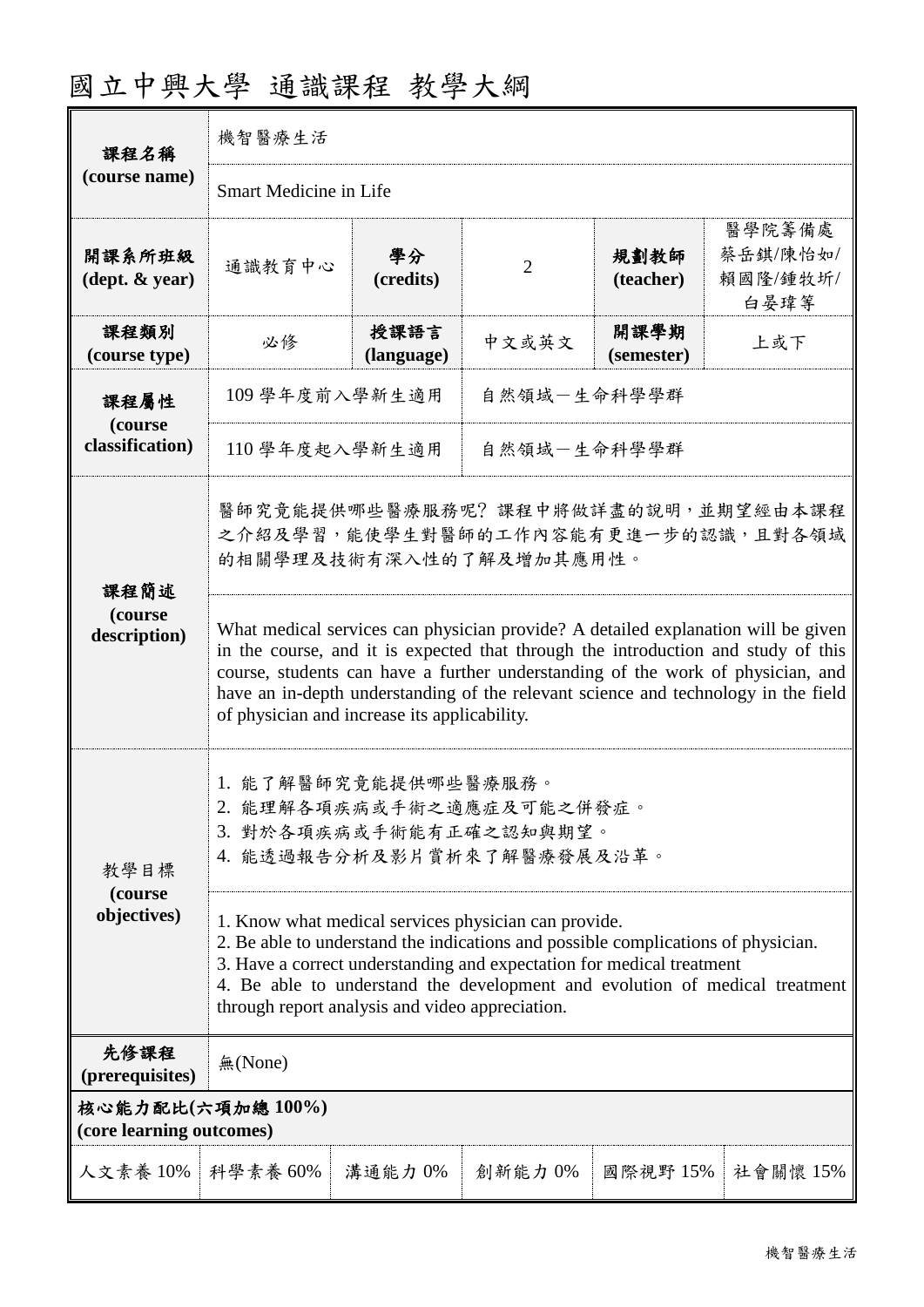| 國立中興大學 通識課程 教學大綱 |  |  |
|------------------|--|--|
|------------------|--|--|

| 課程名稱                                         | 機智醫療生活                                                                                                                                                                                                                                                                                                                                                                                          |                    |                |                    |                                        |
|----------------------------------------------|-------------------------------------------------------------------------------------------------------------------------------------------------------------------------------------------------------------------------------------------------------------------------------------------------------------------------------------------------------------------------------------------------|--------------------|----------------|--------------------|----------------------------------------|
| (course name)                                | <b>Smart Medicine in Life</b>                                                                                                                                                                                                                                                                                                                                                                   |                    |                |                    |                                        |
| 開課系所班級<br>$(\text{dept.} \& \text{ year})$   | 通識教育中心                                                                                                                                                                                                                                                                                                                                                                                          | 學分<br>(credits)    | $\overline{2}$ | 規劃教師<br>(teacher)  | 醫學院籌備處<br>蔡岳錤/陳怡如/<br>賴國隆/鍾牧圻/<br>白晏瑋等 |
| 課程類別<br>(course type)                        | 必修                                                                                                                                                                                                                                                                                                                                                                                              | 授課語言<br>(language) | 中文或英文          | 開課學期<br>(semester) | 上或下                                    |
| 課程屬性                                         | 109 學年度前入學新生適用                                                                                                                                                                                                                                                                                                                                                                                  |                    | 自然領域一生命科學學群    |                    |                                        |
| (course<br>classification)                   | 110 學年度起入學新生適用                                                                                                                                                                                                                                                                                                                                                                                  |                    | 自然領域-生命科學學群    |                    |                                        |
| 課程簡述                                         | 醫師究竟能提供哪些醫療服務呢? 課程中將做詳盡的說明,並期望經由本課程<br>之介紹及學習,能使學生對醫師的工作內容能有更進一步的認識,且對各領域<br>的相關學理及技術有深入性的了解及增加其應用性。                                                                                                                                                                                                                                                                                            |                    |                |                    |                                        |
| (course<br>description)                      | What medical services can physician provide? A detailed explanation will be given<br>in the course, and it is expected that through the introduction and study of this<br>course, students can have a further understanding of the work of physician, and<br>have an in-depth understanding of the relevant science and technology in the field<br>of physician and increase its applicability. |                    |                |                    |                                        |
| 教學目標                                         | 1. 能了解醫師究竟能提供哪些醫療服務。<br>2. 能理解各項疾病或手術之適應症及可能之併發症。<br>3. 對於各項疾病或手術能有正確之認知與期望。<br>4. 能透過報告分析及影片賞析來了解醫療發展及沿革。                                                                                                                                                                                                                                                                                      |                    |                |                    |                                        |
| (course<br>objectives)                       | 1. Know what medical services physician can provide.<br>2. Be able to understand the indications and possible complications of physician.<br>3. Have a correct understanding and expectation for medical treatment<br>4. Be able to understand the development and evolution of medical treatment<br>through report analysis and video appreciation.                                            |                    |                |                    |                                        |
| 先修課程<br>(prerequisites)                      | 無(None)                                                                                                                                                                                                                                                                                                                                                                                         |                    |                |                    |                                        |
| 核心能力配比(六項加總100%)<br>(core learning outcomes) |                                                                                                                                                                                                                                                                                                                                                                                                 |                    |                |                    |                                        |
| 人文素養 10%                                     | 科學素養 60%                                                                                                                                                                                                                                                                                                                                                                                        | 溝通能力 0%            | 創新能力 0%        | 國際視野 15%           | 社會關懷 15%                               |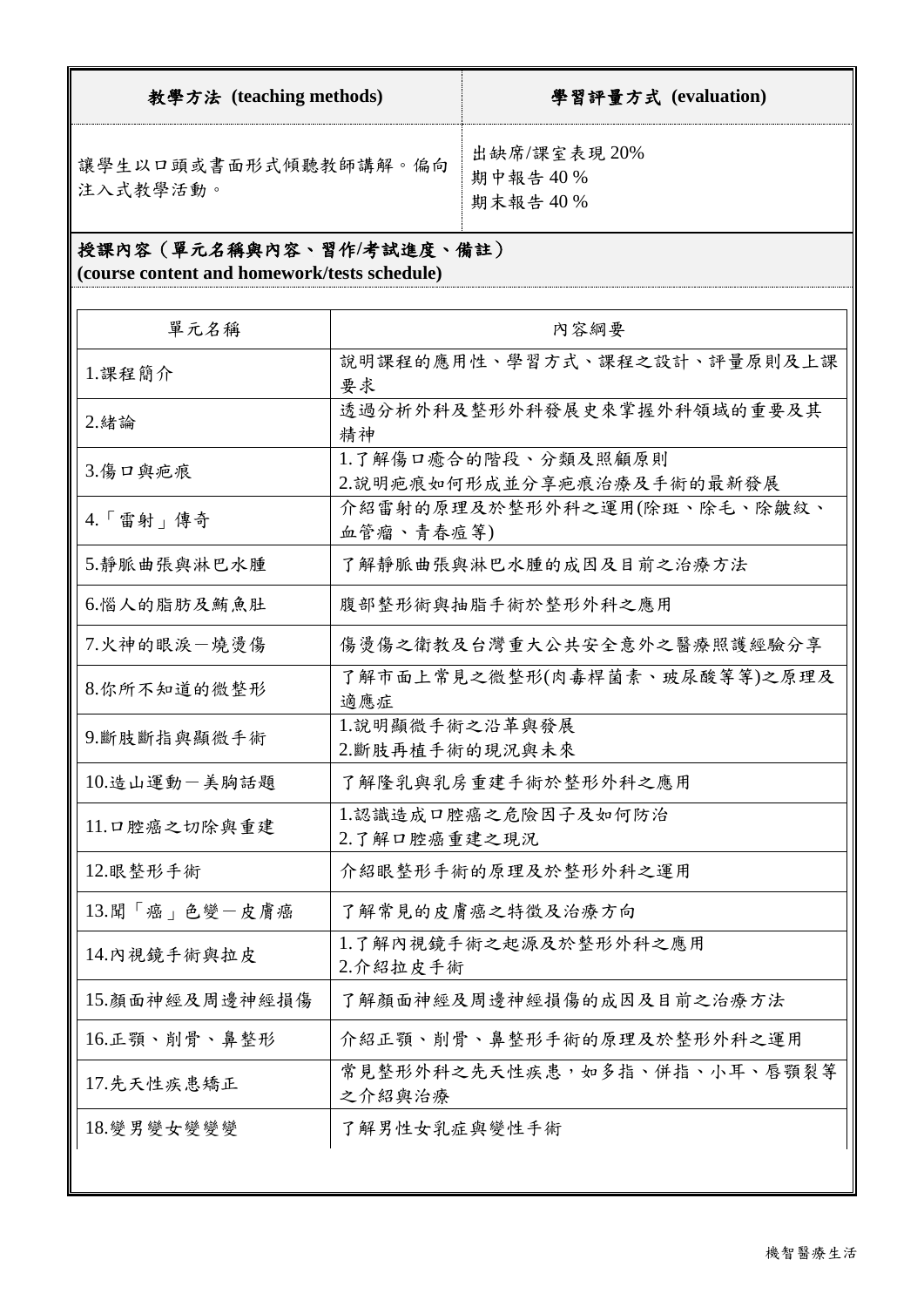| 教學方法 (teaching methods)                   | 學習評量方式 (evaluation)               |
|-------------------------------------------|-----------------------------------|
| 讓學生以口頭或書面形式傾聽教師講解。偏向<br><b>  注入式教學活動。</b> | 出缺席/課室表現20%<br>期中報告40%<br>期末報告40% |

# 授課內容(單元名稱與內容、習作**/**考試進度、備註)

**(course content and homework/tests schedule)**

| 單元名稱                                          | 內容綱要                                             |
|-----------------------------------------------|--------------------------------------------------|
| 1.課程簡介                                        | 說明課程的應用性、學習方式、課程之設計、評量原則及上課<br>要求                |
| 2.緒論                                          | 透過分析外科及整形外科發展史來掌握外科領域的重要及其<br>精神                 |
| 3.傷口與疤痕                                       | 1.了解傷口癒合的階段、分類及照顧原則<br>2.說明疤痕如何形成並分享疤痕治療及手術的最新發展 |
| $4. \lceil \frac{2}{3} \frac{1}{3} \rceil$ 傅奇 | 介紹雷射的原理及於整形外科之運用(除斑、除毛、除皺紋、<br>血管瘤、青春痘等)         |
| 5.靜脈曲張與淋巴水腫                                   | 了解靜脈曲張與淋巴水腫的成因及目前之治療方法                           |
| 6.惱人的脂肪及鮪魚肚                                   | 腹部整形術與抽脂手術於整形外科之應用                               |
| 7.火神的眼淚一燒燙傷                                   | 傷燙傷之衛教及台灣重大公共安全意外之醫療照護經驗分享                       |
| 8.你所不知道的微整形                                   | 了解市面上常見之微整形(肉毒桿菌素、玻尿酸等等)之原理及<br>適應症              |
| 9.斷肢斷指與顯微手術                                   | 1.說明顯微手術之沿革與發展<br>2.斷肢再植手術的現況與未來                 |
| 10.造山運動一美胸話題                                  | 了解隆乳與乳房重建手術於整形外科之應用                              |
| 11.口腔癌之切除與重建                                  | 1.認識造成口腔癌之危險因子及如何防治<br>2.了解口腔癌重建之現況              |
| 12.眼整形手術                                      | 介紹眼整形手術的原理及於整形外科之運用                              |
| 13. 聞「癌」色變一皮膚癌                                | 了解常見的皮膚癌之特徵及治療方向                                 |
| 14. 內視鏡手術與拉皮                                  | 1.了解內視鏡手術之起源及於整形外科之應用<br>2.介紹拉皮手術                |
| 15.顏面神經及周邊神經損傷                                | 了解顏面神經及周邊神經損傷的成因及目前之治療方法                         |
| 16.正顎、削骨、鼻整形                                  | 介紹正顎、削骨、鼻整形手術的原理及於整形外科之運用                        |
| 17.先天性疾患矯正                                    | 常見整形外科之先天性疾患,如多指、併指、小耳、唇顎裂等<br>之介紹與治療            |
| 18.變男變女變變變                                    | 了解男性女乳症與變性手術                                     |
|                                               |                                                  |